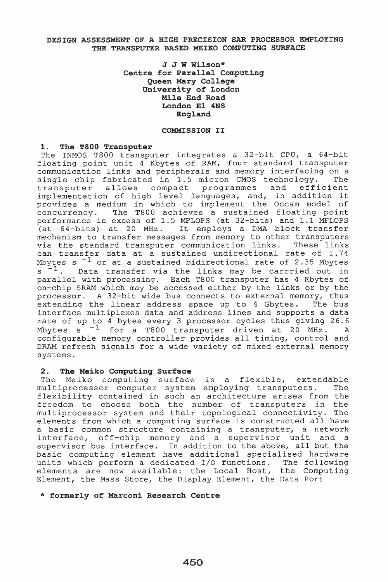# DESIGN ASSESSMENT OF A HIGH PRECISION SAR PROCESSOR EMPLOYING THE TRANSPUTER BASED MEIKO COMPUTING SURFACE

J J W Wilson\* Centre for Parallel Computing Queen Mary College University of London Mile End Road London E1 4NS England

## COMMISSION II

### 1. The T800 Transputer

The INMOS T800 transputer integrates a 32-bit CPU, a 64-bit floating point unit 4 Kbytes of RAM, four standard transputer communication links and peripherals and memory interfacing on a single chip fabricated in 1.5 micron CMOS technology. The<br>transputer allows compact programmes and efficient compact programmes and implementation of high level languages, and, in addition it provides a medium in which to implement the Occam model of concurrency. The T800 achieves a sustained floating point performance in excess of 1.5 MFLOPS (at 32-bits) and 1.1 MFLOPS erformance in excess of 1.5 ME hors (at 52-bits) and 1.1 ME hors<br>(at 64-bits) at 20 MHz. It employs a DMA block transfer mechanism to transfer messages from memory to other transputers via the standard transputer communication links. These links can transfer data at a sustained undirectional rate of 1.74 Mbytes s<sup>-1</sup> or at a sustained bidirectional rate of 2.35 Mbytes  $s^{-1}$ . Data transfer via the links may be carrried out in parallel with processing. Each T800 transputer has 4 Kbytes of on-chip SRAM which may be accessed either by the links or by the processor. A 32-bit wide bus connects to external memory, thus extending the linear address space up to 4 Gbytes. The bus interface multiplexes data and address lines and supports a data rate of up to 4 bytes every 3 processor cycles thus giving 26.6 Mbytes  $s^{-1}$  for a T800 transputer driven at 20 MHz. A configurable memory controller provides all timing, control and DRAM refresh signals for a wide variety of mixed external memory systems.

# 2. The Meiko Computing Surface

2. The heiko computing surface is a flexible, extendable multiprocessor computer system employing transputers. The matcrprocessor compacer system emproying cranspacers. The<br>flexibility contained in such an architecture arises from the freedom to choose both the number of transputers in the multiprocessor system and their topological connectivity. The elements from which a computing surface is constructed all have a basic common structure containing a transputer, a network interface, off-chip memory and a supervisor unit and a supervisor bus interface. In addition to the above, all but the basic computing element have additional specialised hardware units which perform a dedicated I/O functions. The following elements are now available: the Local Host, the Computing Element, the Mass Store, the Display Element, the Data Port

#### \* formerly of Marconi Research Centre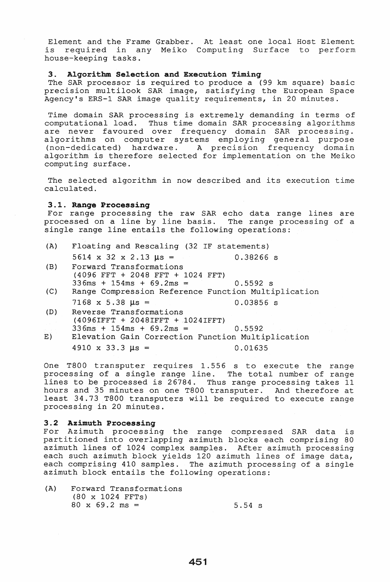Element and the Frame Grabber. At least one local Host Element is required in any Meiko Computing Surface to perform is required in a<br>house-keeping tasks.

#### 3. Algorithm Selection and Execution Timing

The SAR processor is required to produce a (99 km square) basic precision multilook SAR image, satisfying the European Space Agency's ERS-l SAR image quality requirements, in 20 minutes.

Time domain SAR processing is extremely demanding in terms of computational load. Thus time domain SAR processing algorithms are never favoured over frequency domain SAR processing. algorithms on computer systems employing general purpose (non-dedicated) hardware. A precision frequency domain algorithm is therefore selected for implementation on the Meiko computing surface.

The selected algorithm in now described and its execution time calculated.

### 3.1. Range Processing

For range processing the raw SAR echo data range lines are processed on a line by line basis. The range processing of a single range line entails the following operations:

- (A) Floating and Rescaling (32 IF statements)  $5614 \times 32 \times 2.13 \text{ }\mu\text{s} =$ 0.38266 s
- (B) Forward Transformations (4096 FFT + 2048 FFT + 1024 FFT)  $336ms + 154ms + 69.2ms =$ 0.5592 s
- (C) Range Compression Reference Function Multiplication  $7168$  x 5.38  $\mu s$  = 0.03856 s
- (D) Reverse Transformations (4096IFFT + 2048IFFT + 1024IFFT)
- $336ms + 154ms + 69.2ms = 0.5592$ E) Elevation Gain Correction Function Multiplication  $4910 \times 33.3 \text{ } \mu\text{s} = 0.01635$

One T800 transputer requires 1.556 s to execute the range processing of a single range line. The total number of range lines to be processed is 26784. Thus range processing takes 11 hours and 35 minutes on one T800 transputer. And therefore at least 34.73 T800 transputers will be required to execute range processing in 20 minutes.

## 3.2 Azimuth Processing

For Azimuth processing the range compressed SAR data is partitioned into overlapping azimuth blocks each comprising 80 azimuth lines of 1024 complex samples. After azimuth processing each such azimuth block yields 120 azimuth lines of image data, each comprising 410 samples. The azimuth processing of a single azimuth block entails the following operations:

| (A) | Forward Transformations         |                  |
|-----|---------------------------------|------------------|
|     | $(80 \times 1024 \text{ FFTs})$ |                  |
|     | $80 \times 69.2 \text{ ms} =$   | $5.54 \text{ s}$ |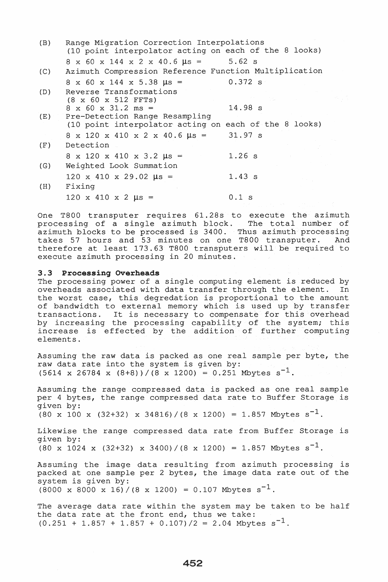| (B) | Range Migration Correction Interpolations<br>(10 point interpolator acting on each of the 8 looks) |           |
|-----|----------------------------------------------------------------------------------------------------|-----------|
|     | $8 \times 60 \times 144 \times 2 \times 40.6 \text{ }\mu\text{s} = 5.62 \text{ s}$                 |           |
| (C) | Azimuth Compression Reference Function Multiplication                                              |           |
|     | $8 \times 60 \times 144 \times 5.38 \text{ }\mu\text{s} =$                                         | $0.372$ s |
| (D) | Reverse Transformations                                                                            |           |
|     | $(8 \times 60 \times 512 \text{ FFTs})$                                                            |           |
|     | $8 \times 60 \times 31.2 \text{ ms} =$                                                             | 14.98 s   |
| (E) | Pre-Detection Range Resampling                                                                     |           |
|     | (10 point interpolator acting on each of the 8 looks)                                              |           |
|     | $8 \times 120 \times 410 \times 2 \times 40.6 \mu s =$                                             | 31.97 s   |
| (F) | Detection                                                                                          |           |
|     | $8 \times 120 \times 410 \times 3.2 \text{ }\mu\text{s} =$                                         | $1.26$ s  |
| (G) | Weighted Look Summation                                                                            |           |
|     | $120 \times 410 \times 29.02 \text{ }\mu\text{s} =$                                                | 1.43 s    |
| (H) | Fixing                                                                                             |           |
|     | $120 \times 410 \times 2 \text{ }\mu\text{s} =$                                                    | $0.1$ s   |
|     |                                                                                                    |           |

One T800 transputer requires 61.28s to execute the azimuth<br>processing of a single azimuth block. The total number of processing of a single azimuth block. azimuth blocks to be processed is 3400. Thus azimuth processing takes 57 hours and 53 minutes on one T800 transputer. And therefore at least 173.63 T800 transputers will be required to execute azimuth processing in 20 minutes.

#### 3.3 Processing Overheads

The processing power of a single computing element is reduced by<br>overheads associated with data transfer through the element. In overheads associated with data transfer through the element. the worst case, this degredation is proportional to the amount of bandwidth to external memory which is used up by transfer of bandwidth to external memory which is used up by cransier<br>transactions. It is necessary to compensate for this overhead by increasing the processing capability of the system; this increase is effected by the addition of further computing elements.

Assuming the raw data is packed as one real sample per byte, the raw data rate into the system is given by:  $(5614 \times 26784 \times (8+8))/(8 \times 1200) = 0.251$  Mbytes s<sup>-1</sup>.

Assuming the range compressed data is packed as one real sample per 4 bytes, the range compressed data rate to Buffer Storage is given by:  $(80 \times 100 \times (32+32) \times 34816) / (8 \times 1200) = 1.857$  Mbytes s<sup>-1</sup>.

Likewise the range compressed data rate from Buffer Storage is given by:  $(80 \times 1024 \times (32+32) \times 3400) / (8 \times 1200) = 1.857$  Mbytes s<sup>-1</sup>.

Assuming the image data resulting from azimuth processing is packed at one sample per 2 bytes, the image data rate out of the system is given by:  $(8000 \times 8000 \times 16) / (8 \times 1200) = 0.107$  Mbytes s<sup>-1</sup>.

The average data rate within the system may be taken to be half the data rate at the front end, thus we take:  $(0.251 + 1.857 + 1.857 + 0.107)/2 = 2.04$  Mbytes s<sup>-1</sup>.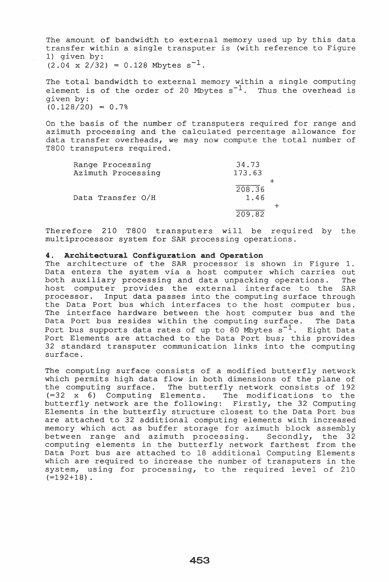The amount of bandwidth to external memory used up by this data transfer within a single transputer is (with reference to Figure 1) given by:  $(2.04 \times 2/32) = 0.128$  Mbytes  $s^{-1}$ .

The total bandwidth to external memory within a single computing element is of the order of 20 Mbytes  $s^{-1}$ . Thus the overhead is given by:  $(0.128/20) = 0.7%$ 

On the basis of the number of transputers required for range and azimuth processing and the calculated percentage allowance for data transfer overheads, we may now compute the total number of T800 transputers required.

| Range Processing<br>Azimuth Processing | 34.73<br>173.63 |  |
|----------------------------------------|-----------------|--|
| Data Transfer O/H                      | 208.36<br>1.46  |  |
|                                        | 209.82          |  |

Therefore 210 T800 transputers will be required by the multiprocessor system for SAR processing operations.

### 4. Architectural Configuration and Operation

The architecture of the SAR processor is shown in Figure 1. Data enters the system via a host computer which carries out both auxiliary processing and data unpacking operations. The host computer provides the external interface to the SAR processor. Input data passes into the computing surface through the Data Port bus which interfaces to the host computer bus. The interface hardware between the host computer bus and the Data Port bus resides within the computing surface. The Data Port bus supports data rates of up to 80 Mbytes  $s^{-1}$ . Eight Data Port Elements are attached to the Data Port bus; this provides 32 standard transputer communication links into the computing surface.

The computing surface consists of a modified butterfly network which permits high data flow in both dimensions of the plane of the computing surface. The butterfly network consists of 192 (=32 x 6) Computing Elements. The modifications to the butterfly network are the following: Firstly, the 32 Computing Elements in the butterfly structure closest to the Data Port bus are attached to 32 additional computing elements with increased memory which act as buffer storage for azimuth block assembly<br>between range and azimuth processing. Secondly, the 32 between range and azimuth processing. computing elements in the butterfly network farthest from the Data Port bus are attached to 18 additional Computing Elements which are required to increase the number of transputers in the system, using for processing, to the required level of 210  $(-192+18)$ .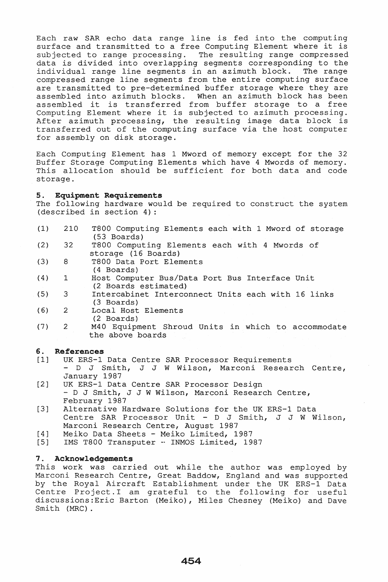Each raw SAR echo data range line is fed into the computing surface and transmitted to a free Computing Element where it is subjected to range processing. The resulting range compressed data is divided into overlapping segments corresponding to the<br>individual range line segments in an azimuth block. The range individual range line segments in an azimuth block. compressed range line segments from the entire computing surface are transmitted to pre-determined buffer storage where they are assembled into azimuth blocks. When an azimuth block has been assembled it is transferred from buffer storage to a free assembled it is transferred from buffer storage to a free<br>Computing Element where it is subjected to azimuth processing. After azimuth processing, the resulting image data block is transferred out of the computing surface via the host computer for assembly on disk storage.

Each Computing Element has 1 Mword of memory except for the 32 Buffer Storage Computing Elements which have 4 Mwords of memory. This allocation should be sufficient for both data and code storage.

### 5. Equipment Requirements

The following hardware would be required to construct the system (described in section 4) :

- (1) 210 T800 Computing Elements each with 1 Mword of storage (53 Boards)
- (2) 32 T800 Computing Elements each with 4 Mwords of storage (16 Boards)
- (3) 8 T800 Data Port Elements (4 Boards)
- (4) 1 Host Computer Bus/Data Port Bus Interface Unit (2 Boards estimated)
- (5) 3 Intercabinet Interconnect Units each with 16 links (3 Boards)
- (6) 2 Local Host Elements
- (2 Boards)
- (7) 2 M40 Equipment Shroud Units in which to accommodate the above boards

### 6 . References

- [1] UK ERS-1 Data Centre SAR Processor Requirements - D J Smith, J J W Wilson, Marconi Research Centre, January 1987
- [2] UK ERS-1 Data Centre SAR Processor Design - D J Smith, J J W Wilson, Marconi Research Centre, February 1987
- [3] Alternative Hardware Solutions for the UK ERS-1 Data Centre SAR Processor Unit - D J Smith, J J W Wilson, Marconi Research Centre, August 1987
- [4] Meiko Data Sheets Meiko Limited, 1987
- [5] IMS T800 Transputer -- INMOS Limited, 1987

## 7. Acknowledgements

This work was carried out while the author was employed by Marconi Research Centre, Great Baddow, England and was supported by the Royal Aircraft Establishment under the UK ERS-1 Data Centre Project. I am grateful to the following for useful discussions:Eric Barton (Meiko), Miles Chesney (Meiko) and Dave Smith (MRC).